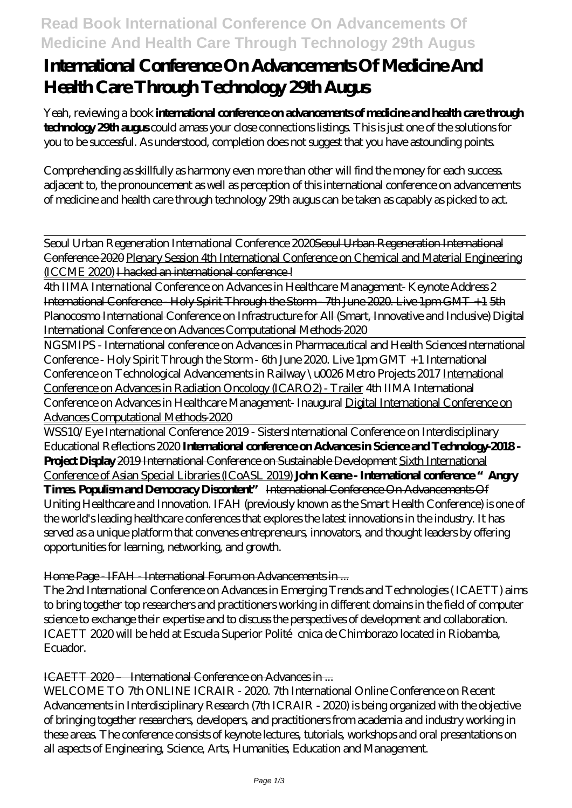## **Read Book International Conference On Advancements Of Medicine And Health Care Through Technology 29th Augus**

# **International Conference On Advancements Of Medicine And Health Care Through Technology 29th Augus**

Yeah, reviewing a book **international conference on advancements of medicine and health care through technology 29th augus** could amass your close connections listings. This is just one of the solutions for you to be successful. As understood, completion does not suggest that you have astounding points.

Comprehending as skillfully as harmony even more than other will find the money for each success. adjacent to, the pronouncement as well as perception of this international conference on advancements of medicine and health care through technology 29th augus can be taken as capably as picked to act.

Seoul Urban Regeneration International Conference 2020Seoul Urban Regeneration International Conference 2020 Plenary Session 4th International Conference on Chemical and Material Engineering (ICCME 2020) I hacked an international conference !

4th IIMA International Conference on Advances in Healthcare Management- Keynote Address 2 International Conference - Holy Spirit Through the Storm - 7th June 2020. Live 1pm GMT +1 5th Planocosmo International Conference on Infrastructure for All (Smart, Innovative and Inclusive) Digital International Conference on Advances Computational Methods-2020

NGSMIPS - International conference on Advances in Pharmaceutical and Health Sciences*International Conference - Holy Spirit Through the Storm - 6th June 2020. Live 1pm GMT +1* International Conference on Technological Advancements in Railway \u0026 Metro Projects 2017 International Conference on Advances in Radiation Oncology (ICARO2) - Trailer *4th IIMA International Conference on Advances in Healthcare Management- Inaugural* Digital International Conference on Advances Computational Methods-2020

WSS10/Eye International Conference 2019 - Sisters*International Conference on Interdisciplinary Educational Reflections 2020* **International conference on Advances in Science and Technology-2018 - Project Display** 2019 International Conference on Sustainable Development Sixth International Conference of Asian Special Libraries (ICoASL 2019) **John Keane - International conference "Angry Times. Populism and Democracy Discontent"** International Conference On Advancements Of Uniting Healthcare and Innovation. IFAH (previously known as the Smart Health Conference) is one of the world's leading healthcare conferences that explores the latest innovations in the industry. It has served as a unique platform that convenes entrepreneurs, innovators, and thought leaders by offering opportunities for learning, networking, and growth.

Home Page - IFAH - International Forum on Advancements in ...

The 2nd International Conference on Advances in Emerging Trends and Technologies ( ICAETT) aims to bring together top researchers and practitioners working in different domains in the field of computer science to exchange their expertise and to discuss the perspectives of development and collaboration. ICAETT 2020 will be held at Escuela Superior Polité cnica de Chimborazo located in Riobamba, Ecuador.

ICAETT 2020 – International Conference on Advances in ...

WELCOME TO 7th ONLINE ICRAIR - 2020 7th International Online Conference on Recent Advancements in Interdisciplinary Research (7th ICRAIR - 2020) is being organized with the objective of bringing together researchers, developers, and practitioners from academia and industry working in these areas. The conference consists of keynote lectures, tutorials, workshops and oral presentations on all aspects of Engineering, Science, Arts, Humanities, Education and Management.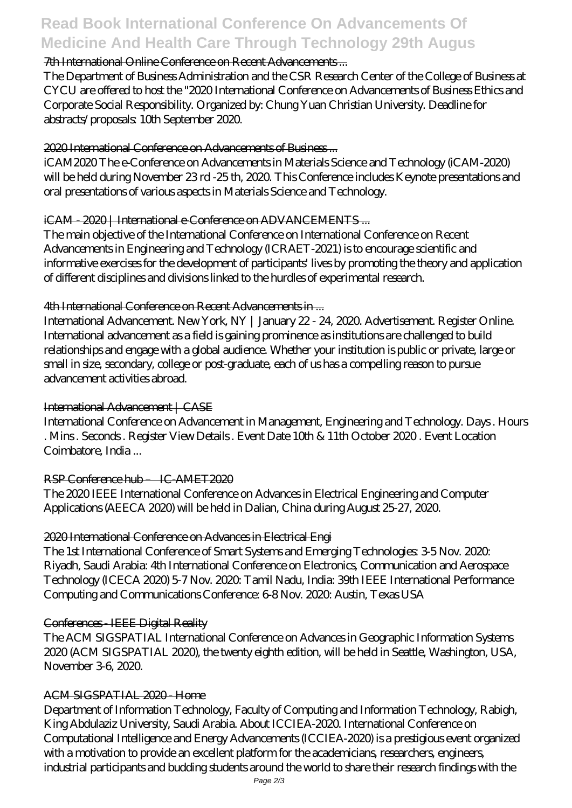## **Read Book International Conference On Advancements Of Medicine And Health Care Through Technology 29th Augus**

## 7th International Online Conference on Recent Advancements ...

The Department of Business Administration and the CSR Research Center of the College of Business at CYCU are offered to host the "2020 International Conference on Advancements of Business Ethics and Corporate Social Responsibility. Organized by: Chung Yuan Christian University. Deadline for abstracts/proposals: 10th September 2020.

## 2020 International Conference on Advancements of Business ...

iCAM2020 The e-Conference on Advancements in Materials Science and Technology (iCAM-2020) will be held during November 23 rd -25 th, 2020. This Conference includes Keynote presentations and oral presentations of various aspects in Materials Science and Technology.

#### iCAM - 2020 | International e-Conference on ADVANCEMENTS ...

The main objective of the International Conference on International Conference on Recent Advancements in Engineering and Technology (ICRAET-2021) is to encourage scientific and informative exercises for the development of participants' lives by promoting the theory and application of different disciplines and divisions linked to the hurdles of experimental research.

#### 4th International Conference on Recent Advancements in ...

International Advancement. New York, NY | January 22 - 24, 2020. Advertisement. Register Online. International advancement as a field is gaining prominence as institutions are challenged to build relationships and engage with a global audience. Whether your institution is public or private, large or small in size, secondary, college or post-graduate, each of us has a compelling reason to pursue advancement activities abroad.

## International Advancement | CASE

International Conference on Advancement in Management, Engineering and Technology. Days . Hours . Mins . Seconds . Register View Details . Event Date 10th & 11th October 2020 . Event Location Coimbatore, India ...

## RSP Conference hub – IC-AMET2020

The 2020 IEEE International Conference on Advances in Electrical Engineering and Computer Applications (AEECA 2020) will be held in Dalian, China during August 25-27, 2020.

## 2020 International Conference on Advances in Electrical Engi

The 1st International Conference of Smart Systems and Emerging Technologies: 3-5 Nov. 2020: Riyadh, Saudi Arabia: 4th International Conference on Electronics, Communication and Aerospace Technology (ICECA 2020) 5-7 Nov. 2020. Tamil Nadu, India: 39th IEEE International Performance Computing and Communications Conference: 6-8 Nov. 2020: Austin, Texas USA

#### Conferences - IEEE Digital Reality

The ACM SIGSPATIAL International Conference on Advances in Geographic Information Systems 2020 (ACM SIGSPATIAL 2020), the twenty eighth edition, will be held in Seattle, Washington, USA, November 3-6, 2020.

## ACM SIGSPATIAL 2020 - Home

Department of Information Technology, Faculty of Computing and Information Technology, Rabigh, King Abdulaziz University, Saudi Arabia. About ICCIEA-2020. International Conference on Computational Intelligence and Energy Advancements (ICCIEA-2020) is a prestigious event organized with a motivation to provide an excellent platform for the academicians, researchers, engineers, industrial participants and budding students around the world to share their research findings with the